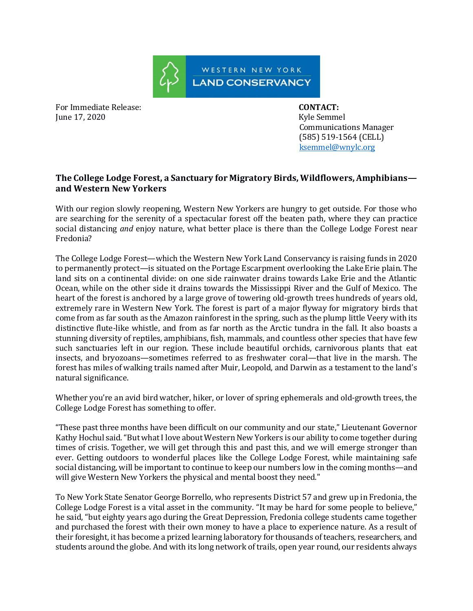

For Immediate Release: **CONTACT:**  June 17, 2020 Kyle Semmel

 Communications Manager (585) 519-1564 (CELL) ksemmel@wnylc.org

## **The College Lodge Forest, a Sanctuary for Migratory Birds, Wildflowers, Amphibians and Western New Yorkers**

With our region slowly reopening, Western New Yorkers are hungry to get outside. For those who are searching for the serenity of a spectacular forest off the beaten path, where they can practice social distancing *and* enjoy nature, what better place is there than the College Lodge Forest near Fredonia?

The College Lodge Forest—which the Western New York Land Conservancy is raising funds in 2020 to permanently protect—is situated on the Portage Escarpment overlooking the Lake Erie plain. The land sits on a continental divide: on one side rainwater drains towards Lake Erie and the Atlantic Ocean, while on the other side it drains towards the Mississippi River and the Gulf of Mexico. The heart of the forest is anchored by a large grove of towering old-growth trees hundreds of years old, extremely rare in Western New York. The forest is part of a major flyway for migratory birds that come from as far south as the Amazon rainforest in the spring, such as the plump little Veery with its distinctive flute-like whistle, and from as far north as the Arctic tundra in the fall. It also boasts a stunning diversity of reptiles, amphibians, fish, mammals, and countless other species that have few such sanctuaries left in our region. These include beautiful orchids, carnivorous plants that eat insects, and bryozoans—sometimes referred to as freshwater coral—that live in the marsh. The forest has miles of walking trails named after Muir, Leopold, and Darwin as a testament to the land's natural significance.

Whether you're an avid bird watcher, hiker, or lover of spring ephemerals and old-growth trees, the College Lodge Forest has something to offer.

"These past three months have been difficult on our community and our state," Lieutenant Governor Kathy Hochul said. "But what I love about Western New Yorkers is our ability to come together during times of crisis. Together, we will get through this and past this, and we will emerge stronger than ever. Getting outdoors to wonderful places like the College Lodge Forest, while maintaining safe social distancing, will be important to continue to keep our numbers low in the coming months—and will give Western New Yorkers the physical and mental boost they need."

To New York State Senator George Borrello, who represents District 57 and grew up in Fredonia, the College Lodge Forest is a vital asset in the community. "It may be hard for some people to believe," he said, "but eighty years ago during the Great Depression, Fredonia college students came together and purchased the forest with their own money to have a place to experience nature. As a result of their foresight, it has become a prized learning laboratory for thousands of teachers, researchers, and students around the globe. And with its long network of trails, open year round, our residents always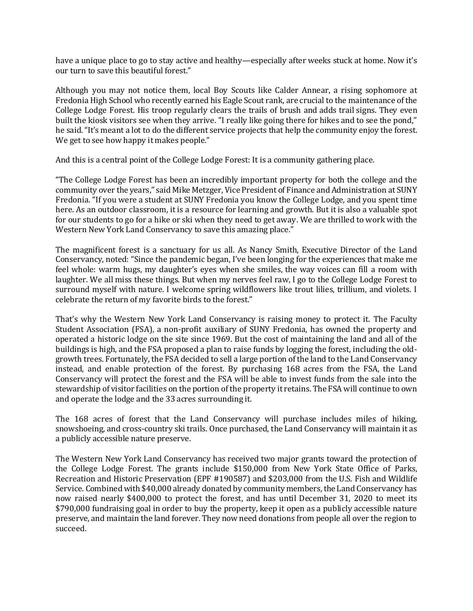have a unique place to go to stay active and healthy—especially after weeks stuck at home. Now it's our turn to save this beautiful forest."

Although you may not notice them, local Boy Scouts like Calder Annear, a rising sophomore at Fredonia High School who recently earned his Eagle Scout rank, are crucial to the maintenance of the College Lodge Forest. His troop regularly clears the trails of brush and adds trail signs. They even built the kiosk visitors see when they arrive. "I really like going there for hikes and to see the pond," he said. "It's meant a lot to do the different service projects that help the community enjoy the forest. We get to see how happy it makes people."

And this is a central point of the College Lodge Forest: It is a community gathering place.

"The College Lodge Forest has been an incredibly important property for both the college and the community over the years," said Mike Metzger, Vice President of Finance and Administration at SUNY Fredonia. "If you were a student at SUNY Fredonia you know the College Lodge, and you spent time here. As an outdoor classroom, it is a resource for learning and growth. But it is also a valuable spot for our students to go for a hike or ski when they need to get away. We are thrilled to work with the Western New York Land Conservancy to save this amazing place."

The magnificent forest is a sanctuary for us all. As Nancy Smith, Executive Director of the Land Conservancy, noted: "Since the pandemic began, I've been longing for the experiences that make me feel whole: warm hugs, my daughter's eyes when she smiles, the way voices can fill a room with laughter. We all miss these things. But when my nerves feel raw, I go to the College Lodge Forest to surround myself with nature. I welcome spring wildflowers like trout lilies, trillium, and violets. I celebrate the return of my favorite birds to the forest."

That's why the Western New York Land Conservancy is raising money to protect it. The Faculty Student Association (FSA), a non-profit auxiliary of SUNY Fredonia, has owned the property and operated a historic lodge on the site since 1969. But the cost of maintaining the land and all of the buildings is high, and the FSA proposed a plan to raise funds by logging the forest, including the oldgrowth trees. Fortunately, the FSA decided to sell a large portion of the land to the Land Conservancy instead, and enable protection of the forest. By purchasing 168 acres from the FSA, the Land Conservancy will protect the forest and the FSA will be able to invest funds from the sale into the stewardship of visitor facilities on the portion of the property it retains. The FSA will continue to own and operate the lodge and the 33 acres surrounding it.

The 168 acres of forest that the Land Conservancy will purchase includes miles of hiking, snowshoeing, and cross-country ski trails. Once purchased, the Land Conservancy will maintain it as a publicly accessible nature preserve.

The Western New York Land Conservancy has received two major grants toward the protection of the College Lodge Forest. The grants include \$150,000 from New York State Office of Parks, Recreation and Historic Preservation (EPF #190587) and \$203,000 from the U.S. Fish and Wildlife Service. Combined with \$40,000 already donated by community members, the Land Conservancy has now raised nearly \$400,000 to protect the forest, and has until December 31, 2020 to meet its \$790,000 fundraising goal in order to buy the property, keep it open as a publicly accessible nature preserve, and maintain the land forever. They now need donations from people all over the region to succeed.